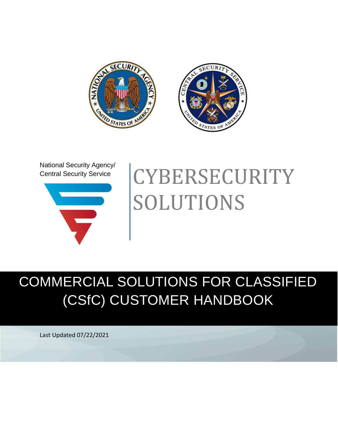

National Security Agency/ Central Security Service



# **CYBERSECURITY** SOLUTIONS

# COMMERCIAL SOLUTIONS FOR CLASSIFIED (CSfC) CUSTOMER HANDBOOK

Last Updated 07/22/2021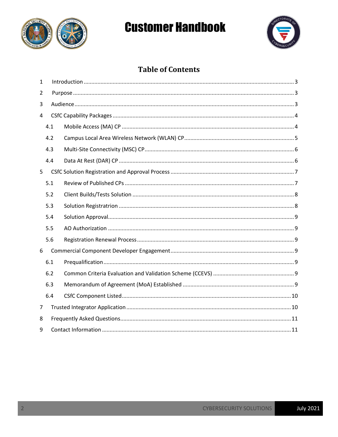



### **Table of Contents**

| $\mathbf{1}$ |     |  |  |  |
|--------------|-----|--|--|--|
| 2            |     |  |  |  |
| 3            |     |  |  |  |
| 4            |     |  |  |  |
|              | 4.1 |  |  |  |
|              | 4.2 |  |  |  |
|              | 4.3 |  |  |  |
|              | 4.4 |  |  |  |
| 5            |     |  |  |  |
|              | 5.1 |  |  |  |
|              | 5.2 |  |  |  |
|              | 5.3 |  |  |  |
|              | 5.4 |  |  |  |
|              | 5.5 |  |  |  |
|              | 5.6 |  |  |  |
| 6            |     |  |  |  |
|              | 6.1 |  |  |  |
|              | 6.2 |  |  |  |
|              | 6.3 |  |  |  |
|              | 6.4 |  |  |  |
| 7            |     |  |  |  |
| 8            |     |  |  |  |
| 9            |     |  |  |  |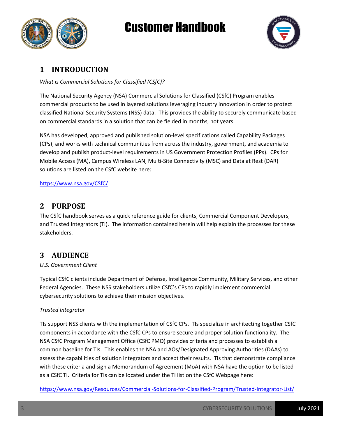



### <span id="page-2-0"></span>**1 INTRODUCTION**

*What is Commercial Solutions for Classified (CSfC)?*

The National Security Agency (NSA) Commercial Solutions for Classified (CSfC) Program enables commercial products to be used in layered solutions leveraging industry innovation in order to protect classified National Security Systems (NSS) data. This provides the ability to securely communicate based on commercial standards in a solution that can be fielded in months, not years.

NSA has developed, approved and published solution-level specifications called Capability Packages (CPs), and works with technical communities from across the industry, government, and academia to develop and publish product-level requirements in US Government Protection Profiles (PPs). CPs for Mobile Access (MA), Campus Wireless LAN, Multi-Site Connectivity (MSC) and Data at Rest (DAR) solutions are listed on the CSfC website here:

#### <https://www.nsa.gov/CSfC/>

#### <span id="page-2-1"></span>**2 PURPOSE**

The CSfC handbook serves as a quick reference guide for clients, Commercial Component Developers, and Trusted Integrators (TI). The information contained herein will help explain the processes for these stakeholders.

#### **3 AUDIENCE**

#### *U.S. Government Client*

Typical CSfC clients include Department of Defense, Intelligence Community, Military Services, and other Federal Agencies. These NSS stakeholders utilize CSfC's CPs to rapidly implement commercial cybersecurity solutions to achieve their mission objectives.

#### *Trusted Integrator*

TIs support NSS clients with the implementation of CSfC CPs. TIs specialize in architecting together CSfC components in accordance with the CSfC CPs to ensure secure and proper solution functionality. The NSA CSfC Program Management Office (CSfC PMO) provides criteria and processes to establish a common baseline for TIs. This enables the NSA and AOs/Designated Approving Authorities (DAAs) to assess the capabilities of solution integrators and accept their results. TIs that demonstrate compliance with these criteria and sign a Memorandum of Agreement (MoA) with NSA have the option to be listed as a CSfC TI. Criteria for TIs can be located under the TI list on the CSfC Webpage here:

<https://www.nsa.gov/Resources/Commercial-Solutions-for-Classified-Program/Trusted-Integrator-List/>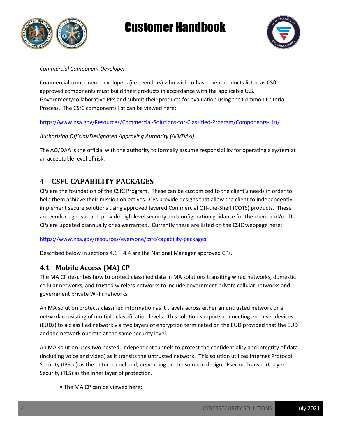



#### *Commercial Component Developer*

Commercial component developers (i.e., vendors) who wish to have their products listed as CSfC approved components must build their products in accordance with the applicable U.S. Government/collaborative PPs and submit their products for evaluation using the Common Criteria Process. The CSfC components list can be viewed here:

<https://www.nsa.gov/Resources/Commercial-Solutions-for-Classified-Program/Components-List/>

*Authorizing Official/Designated Approving Authority (AO/DAA)*

The AO/DAA is the official with the authority to formally assume responsibility for operating a system at an acceptable level of risk.

### **4 CSFC CAPABILITY PACKAGES**

CPs are the foundation of the CSfC Program. These can be customized to the client's needs in order to help them achieve their mission objectives. CPs provide designs that allow the client to independently implement secure solutions using approved layered Commercial Off-the-Shelf (COTS) products. These are vendor-agnostic and provide high-level security and configuration guidance for the client and/or TIs. CPs are updated biannually or as warranted. Currently these are listed on the CSfC webpage here:

<https://www.nsa.gov/resources/everyone/csfc/capability-packages>

Described below in sections  $4.1 - 4.4$  are the National Manager approved CPs.

#### **4.1 Mobile Access (MA) CP**

The MA CP describes how to protect classified data in MA solutions transiting wired networks, domestic cellular networks, and trusted wireless networks to include government private cellular networks and government private Wi-Fi networks.

An MA solution protects classified information as it travels across either an untrusted network or a network consisting of multiple classification levels. This solution supports connecting end-user devices (EUDs) to a classified network via two layers of encryption terminated on the EUD provided that the EUD and the network operate at the same security level.

An MA solution uses two nested, independent tunnels to protect the confidentiality and integrity of data (including voice and video) as it transits the untrusted network. This solution utilizes Internet Protocol Security (IPSec) as the outer tunnel and, depending on the solution design, IPsec or Transport Layer Security (TLS) as the inner layer of protection.

• The MA CP can be viewed here: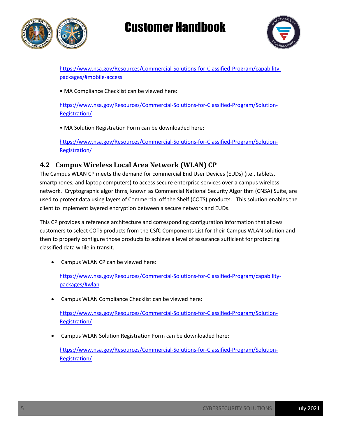



[https://www.nsa.gov/Resources/Commercial-Solutions-for-Classified-Program/capability](https://www.nsa.gov/Resources/Commercial-Solutions-for-Classified-Program/capability-packages/#mobile-access)[packages/#mobile-access](https://www.nsa.gov/Resources/Commercial-Solutions-for-Classified-Program/capability-packages/#mobile-access)

• MA Compliance Checklist can be viewed here:

[https://www.nsa.gov/Resources/Commercial-Solutions-for-Classified-Program/Solution-](https://www.nsa.gov/Resources/Commercial-Solutions-for-Classified-Program/Solution-Registration/)[Registration/](https://www.nsa.gov/Resources/Commercial-Solutions-for-Classified-Program/Solution-Registration/)

• MA Solution Registration Form can be downloaded here:

[https://www.nsa.gov/Resources/Commercial-Solutions-for-Classified-Program/Solution-](https://www.nsa.gov/Resources/Commercial-Solutions-for-Classified-Program/Solution-Registration/)[Registration/](https://www.nsa.gov/Resources/Commercial-Solutions-for-Classified-Program/Solution-Registration/) 

### **4.2 Campus Wireless Local Area Network (WLAN) CP**

The Campus WLAN CP meets the demand for commercial End User Devices (EUDs) (i.e., tablets, smartphones, and laptop computers) to access secure enterprise services over a campus wireless network. Cryptographic algorithms, known as Commercial National Security Algorithm (CNSA) Suite, are used to protect data using layers of Commercial off the Shelf (COTS) products. This solution enables the client to implement layered encryption between a secure network and EUDs.

This CP provides a reference architecture and corresponding configuration information that allows customers to select COTS products from the CSfC Components List for their Campus WLAN solution and then to properly configure those products to achieve a level of assurance sufficient for protecting classified data while in transit.

• Campus WLAN CP can be viewed here:

[https://www.nsa.gov/Resources/Commercial-Solutions-for-Classified-Program/capability](https://www.nsa.gov/Resources/Commercial-Solutions-for-Classified-Program/capability-packages/#wlan)[packages/#wlan](https://www.nsa.gov/Resources/Commercial-Solutions-for-Classified-Program/capability-packages/#wlan)

Campus WLAN Compliance Checklist can be viewed here:

[https://www.nsa.gov/Resources/Commercial-Solutions-for-Classified-Program/Solution-](https://www.nsa.gov/Resources/Commercial-Solutions-for-Classified-Program/Solution-Registration/)[Registration/](https://www.nsa.gov/Resources/Commercial-Solutions-for-Classified-Program/Solution-Registration/)

Campus WLAN Solution Registration Form can be downloaded here:

[https://www.nsa.gov/Resources/Commercial-Solutions-for-Classified-Program/Solution-](https://www.nsa.gov/Resources/Commercial-Solutions-for-Classified-Program/Solution-Registration/)[Registration/](https://www.nsa.gov/Resources/Commercial-Solutions-for-Classified-Program/Solution-Registration/)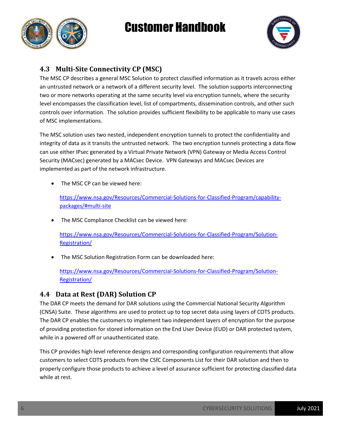



### **4.3 Multi-Site Connectivity CP (MSC)**

The MSC CP describes a general MSC Solution to protect classified information as it travels across either an untrusted network or a network of a different security level. The solution supports interconnecting two or more networks operating at the same security level via encryption tunnels, where the security level encompasses the classification level, list of compartments, dissemination controls, and other such controls over information. The solution provides sufficient flexibility to be applicable to many use cases of MSC implementations.

The MSC solution uses two nested, independent encryption tunnels to protect the confidentiality and integrity of data as it transits the untrusted network. The two encryption tunnels protecting a data flow can use either IPsec generated by a Virtual Private Network (VPN) Gateway or Media Access Control Security (MACsec) generated by a MACsec Device. VPN Gateways and MACsec Devices are implemented as part of the network infrastructure.

• The MSC CP can be viewed here:

[https://www.nsa.gov/Resources/Commercial-Solutions-for-Classified-Program/capability](https://www.nsa.gov/Resources/Commercial-Solutions-for-Classified-Program/capability-packages/#multi-site)[packages/#multi-site](https://www.nsa.gov/Resources/Commercial-Solutions-for-Classified-Program/capability-packages/#multi-site)

• The MSC Compliance Checklist can be viewed here:

[https://www.nsa.gov/Resources/Commercial-Solutions-for-Classified-Program/Solution-](https://www.nsa.gov/Resources/Commercial-Solutions-for-Classified-Program/Solution-Registration/)[Registration/](https://www.nsa.gov/Resources/Commercial-Solutions-for-Classified-Program/Solution-Registration/)

The MSC Solution Registration Form can be downloaded here:

[https://www.nsa.gov/Resources/Commercial-Solutions-for-Classified-Program/Solution-](https://www.nsa.gov/Resources/Commercial-Solutions-for-Classified-Program/Solution-Registration/)[Registration/](https://www.nsa.gov/Resources/Commercial-Solutions-for-Classified-Program/Solution-Registration/)

#### **4.4 Data at Rest (DAR) Solution CP**

The DAR CP meets the demand for DAR solutions using the Commercial National Security Algorithm (CNSA) Suite. These algorithms are used to protect up to top secret data using layers of COTS products. The DAR CP enables the customers to implement two independent layers of encryption for the purpose of providing protection for stored information on the End User Device (EUD) or DAR protected system, while in a powered off or unauthenticated state.

This CP provides high-level reference designs and corresponding configuration requirements that allow customers to select COTS products from the CSfC Components List for their DAR solution and then to properly configure those products to achieve a level of assurance sufficient for protecting classified data while at rest.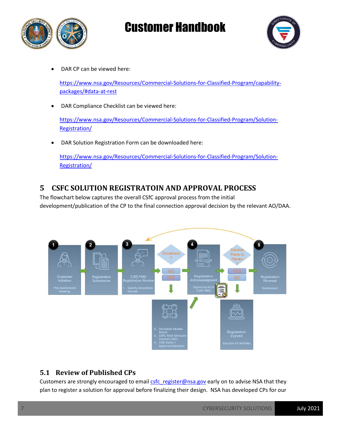



DAR CP can be viewed here:

[https://www.nsa.gov/Resources/Commercial-Solutions-for-Classified-Program/capability](https://www.nsa.gov/Resources/Commercial-Solutions-for-Classified-Program/capability-packages/#data-at-rest)[packages/#data-at-rest](https://www.nsa.gov/Resources/Commercial-Solutions-for-Classified-Program/capability-packages/#data-at-rest)

DAR Compliance Checklist can be viewed here:

[https://www.nsa.gov/Resources/Commercial-Solutions-for-Classified-Program/Solution-](https://www.nsa.gov/Resources/Commercial-Solutions-for-Classified-Program/Solution-Registration/)[Registration/](https://www.nsa.gov/Resources/Commercial-Solutions-for-Classified-Program/Solution-Registration/)

DAR Solution Registration Form can be downloaded here:

[https://www.nsa.gov/Resources/Commercial-Solutions-for-Classified-Program/Solution-](https://www.nsa.gov/Resources/Commercial-Solutions-for-Classified-Program/Solution-Registration/)[Registration/](https://www.nsa.gov/Resources/Commercial-Solutions-for-Classified-Program/Solution-Registration/)

### **5 CSFC SOLUTION REGISTRATOIN AND APPROVAL PROCESS**

The flowchart below captures the overall CSfC approval process from the initial development/publication of the CP to the final connection approval decision by the relevant AO/DAA.



### **5.1 Review of Published CPs**

Customers are strongly encouraged to email **csfc\_register@nsa.gov** early on to advise NSA that they plan to register a solution for approval before finalizing their design. NSA has developed CPs for our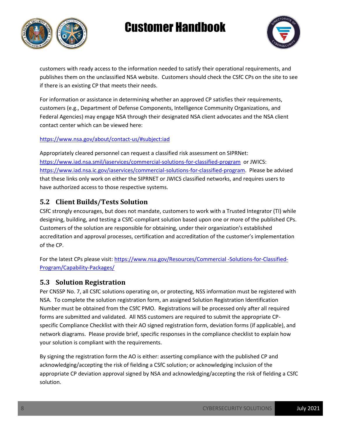



customers with ready access to the information needed to satisfy their operational requirements, and publishes them on the unclassified NSA website. Customers should check the CSfC CPs on the site to see if there is an existing CP that meets their needs.

For information or assistance in determining whether an approved CP satisfies their requirements, customers (e.g., Department of Defense Components, Intelligence Community Organizations, and Federal Agencies) may engage NSA through their designated NSA client advocates and the NSA client contact center which can be viewed here:

#### <https://www.nsa.gov/about/contact-us/#subject:iad>

Appropriately cleared personnel can request a classified risk assessment on SIPRNet: <https://www.iad.nsa.smil/iaservices/commercial-solutions-for-classified-program>or JWICS: [https://www.iad.nsa.ic.gov/iaservices/commercial-solutions-for-classified-program.](https://www.iad.nsa.ic.gov/iaservices/commercial-solutions-for-classified-program) Please be advised that these links only work on either the SIPRNET or JWICS classified networks, and requires users to have authorized access to those respective systems.

#### **5.2 Client Builds/Tests Solution**

CSfC strongly encourages, but does not mandate, customers to work with a Trusted Integrator (TI) while designing, building, and testing a CSfC-compliant solution based upon one or more of the published CPs. Customers of the solution are responsible for obtaining, under their organization's established accreditation and approval processes, certification and accreditation of the customer's implementation of the CP.

For the latest CPs please visit: [https://www.nsa.gov/Resources/Commercial -Solutions-for-Classified-](https://www.nsa.gov/Resources/Commercial%20-Solutions-for-Classified-Program/Capability-Packages/)[Program/Capability-Packages/](https://www.nsa.gov/Resources/Commercial%20-Solutions-for-Classified-Program/Capability-Packages/)

#### **5.3 Solution Registration**

Per CNSSP No. 7, all CSfC solutions operating on, or protecting, NSS information must be registered with NSA. To complete the solution registration form, an assigned Solution Registration Identification Number must be obtained from the CSfC PMO. Registrations will be processed only after all required forms are submitted and validated. All NSS customers are required to submit the appropriate CPspecific Compliance Checklist with their AO signed registration form, deviation forms (if applicable), and network diagrams. Please provide brief, specific responses in the compliance checklist to explain how your solution is compliant with the requirements.

By signing the registration form the AO is either: asserting compliance with the published CP and acknowledging/accepting the risk of fielding a CSfC solution; or acknowledging inclusion of the appropriate CP deviation approval signed by NSA and acknowledging/accepting the risk of fielding a CSfC solution.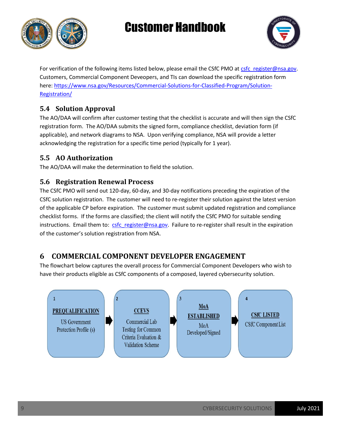



For verification of the following items listed below, please email the CSfC PMO at [csfc\\_register@nsa.gov.](mailto:csfc_register@nsa.gov) Customers, Commercial Component Deveopers, and TIs can download the specific registration form here: [https://www.nsa.gov/Resources/Commercial-Solutions-for-Classified-Program/Solution-](https://www.nsa.gov/Resources/Commercial-Solutions-for-Classified-Program/Solution-Registration/)[Registration/](https://www.nsa.gov/Resources/Commercial-Solutions-for-Classified-Program/Solution-Registration/)

### **5.4 Solution Approval**

The AO/DAA will confirm after customer testing that the checklist is accurate and will then sign the CSfC registration form. The AO/DAA submits the signed form, compliance checklist, deviation form (if applicable), and network diagrams to NSA. Upon verifying compliance, NSA will provide a letter acknowledging the registration for a specific time period (typically for 1 year).

#### **5.5 AO Authorization**

The AO/DAA will make the determination to field the solution.

#### **5.6 Registration Renewal Process**

The CSfC PMO will send out 120-day, 60-day, and 30-day notifications preceding the expiration of the CSfC solution registration. The customer will need to re-register their solution against the latest version of the applicable CP before expiration. The customer must submit updated registration and compliance checklist forms. If the forms are classified; the client will notify the CSfC PMO for suitable sending instructions. Email them to: [csfc\\_register@nsa.gov.](mailto:csfc_register@nsa.gov) Failure to re-register shall result in the expiration of the customer's solution registration from NSA.

### **6 COMMERCIAL COMPONENT DEVELOPER ENGAGEMENT**

The flowchart below captures the overall process for Commercial Component Developers who wish to have their products eligible as CSfC components of a composed, layered cybersecurity solution.

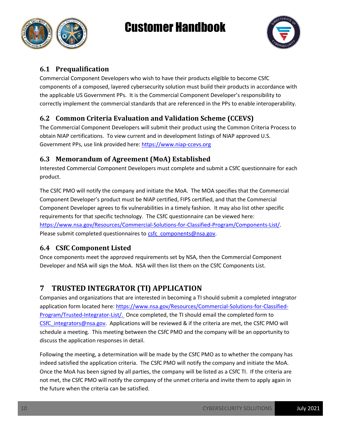



#### **6.1 Prequalification**

Commercial Component Developers who wish to have their products eligible to become CSfC components of a composed, layered cybersecurity solution must build their products in accordance with the applicable US Government PPs. It is the Commercial Component Developer's responsibility to correctly implement the commercial standards that are referenced in the PPs to enable interoperability.

#### **6.2 Common Criteria Evaluation and Validation Scheme (CCEVS)**

The Commercial Component Developers will submit their product using the Common Criteria Process to obtain NIAP certifications. To view current and in development listings of NIAP approved U.S. Government PPs, use link provided here[: https://www.niap-ccevs.org](https://www.niap-ccevs.org/)

#### **6.3 Memorandum of Agreement (MoA) Established**

Interested Commercial Component Developers must complete and submit a CSfC questionnaire for each product.

The CSfC PMO will notify the company and initiate the MoA. The MOA specifies that the Commercial Component Developer's product must be NIAP certified, FIPS certified, and that the Commercial Component Developer agrees to fix vulnerabilities in a timely fashion. It may also list other specific requirements for that specific technology. The CSfC questionnaire can be viewed here: [https://www.nsa.gov/Resources/Commercial-Solutions-for-Classified-Program/Components-List/.](https://www.nsa.gov/Resources/Commercial-Solutions-for-Classified-Program/Components-List/) Please submit completed questionnaires to [csfc\\_components@nsa.gov.](mailto:csfc_components@nsa.gov)

#### **6.4 CSfC Component Listed**

Once components meet the approved requirements set by NSA, then the Commercial Component Developer and NSA will sign the MoA. NSA will then list them on the CSfC Components List.

### **7 TRUSTED INTEGRATOR (TI) APPLICATION**

Companies and organizations that are interested in becoming a TI should submit a completed integrator application form located here: [https://www.nsa.gov/Resources/Commercial-Solutions-for-Classified-](https://www.nsa.gov/Resources/Commercial-Solutions-for-Classified-Program/Trusted-Integrator-List/)[Program/Trusted-Integrator-List/.](https://www.nsa.gov/Resources/Commercial-Solutions-for-Classified-Program/Trusted-Integrator-List/) Once completed, the TI should email the completed form to [CSfC\\_integrators@nsa.gov.](mailto:CSfC_integrators@nsa.gov) Applications will be reviewed & if the criteria are met, the CSfC PMO will schedule a meeting. This meeting between the CSfC PMO and the company will be an opportunity to discuss the application responses in detail.

Following the meeting, a determination will be made by the CSfC PMO as to whether the company has indeed satisfied the application criteria. The CSfC PMO will notify the company and initiate the MoA. Once the MoA has been signed by all parties, the company will be listed as a CSfC TI. If the criteria are not met, the CSfC PMO will notify the company of the unmet criteria and invite them to apply again in the future when the criteria can be satisfied.